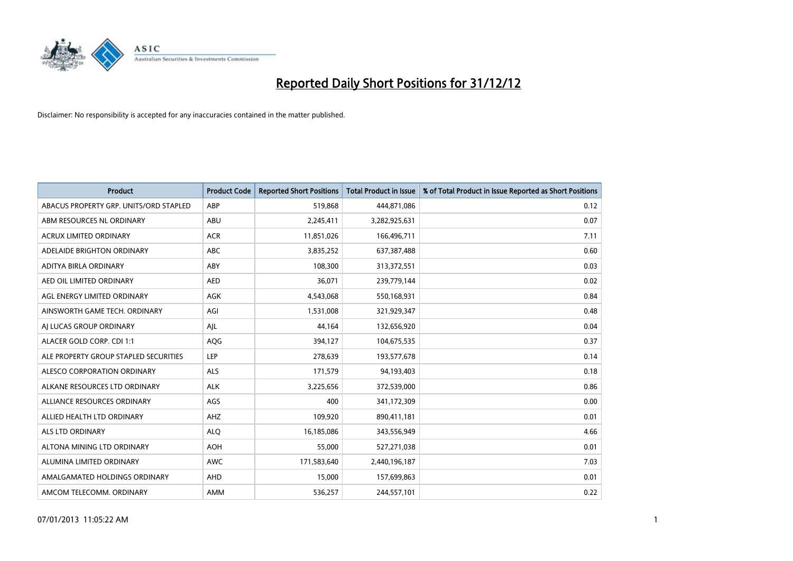

| <b>Product</b>                         | <b>Product Code</b> | <b>Reported Short Positions</b> | <b>Total Product in Issue</b> | % of Total Product in Issue Reported as Short Positions |
|----------------------------------------|---------------------|---------------------------------|-------------------------------|---------------------------------------------------------|
| ABACUS PROPERTY GRP. UNITS/ORD STAPLED | ABP                 | 519,868                         | 444,871,086                   | 0.12                                                    |
| ABM RESOURCES NL ORDINARY              | <b>ABU</b>          | 2,245,411                       | 3,282,925,631                 | 0.07                                                    |
| ACRUX LIMITED ORDINARY                 | <b>ACR</b>          | 11,851,026                      | 166,496,711                   | 7.11                                                    |
| ADELAIDE BRIGHTON ORDINARY             | <b>ABC</b>          | 3,835,252                       | 637,387,488                   | 0.60                                                    |
| ADITYA BIRLA ORDINARY                  | ABY                 | 108,300                         | 313,372,551                   | 0.03                                                    |
| AED OIL LIMITED ORDINARY               | <b>AED</b>          | 36,071                          | 239,779,144                   | 0.02                                                    |
| AGL ENERGY LIMITED ORDINARY            | AGK                 | 4,543,068                       | 550,168,931                   | 0.84                                                    |
| AINSWORTH GAME TECH. ORDINARY          | AGI                 | 1,531,008                       | 321,929,347                   | 0.48                                                    |
| AI LUCAS GROUP ORDINARY                | AJL                 | 44,164                          | 132,656,920                   | 0.04                                                    |
| ALACER GOLD CORP. CDI 1:1              | <b>AQG</b>          | 394,127                         | 104,675,535                   | 0.37                                                    |
| ALE PROPERTY GROUP STAPLED SECURITIES  | LEP                 | 278,639                         | 193,577,678                   | 0.14                                                    |
| ALESCO CORPORATION ORDINARY            | <b>ALS</b>          | 171,579                         | 94,193,403                    | 0.18                                                    |
| ALKANE RESOURCES LTD ORDINARY          | <b>ALK</b>          | 3,225,656                       | 372,539,000                   | 0.86                                                    |
| ALLIANCE RESOURCES ORDINARY            | AGS                 | 400                             | 341,172,309                   | 0.00                                                    |
| ALLIED HEALTH LTD ORDINARY             | AHZ                 | 109,920                         | 890,411,181                   | 0.01                                                    |
| ALS LTD ORDINARY                       | <b>ALQ</b>          | 16,185,086                      | 343,556,949                   | 4.66                                                    |
| ALTONA MINING LTD ORDINARY             | <b>AOH</b>          | 55,000                          | 527,271,038                   | 0.01                                                    |
| ALUMINA LIMITED ORDINARY               | <b>AWC</b>          | 171,583,640                     | 2,440,196,187                 | 7.03                                                    |
| AMALGAMATED HOLDINGS ORDINARY          | <b>AHD</b>          | 15,000                          | 157,699,863                   | 0.01                                                    |
| AMCOM TELECOMM. ORDINARY               | <b>AMM</b>          | 536,257                         | 244,557,101                   | 0.22                                                    |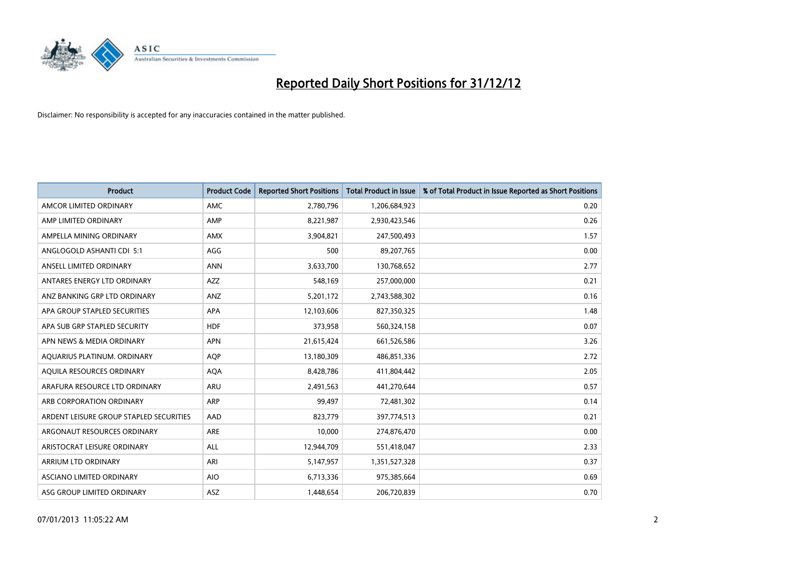

| <b>Product</b>                          | <b>Product Code</b> | <b>Reported Short Positions</b> | <b>Total Product in Issue</b> | % of Total Product in Issue Reported as Short Positions |
|-----------------------------------------|---------------------|---------------------------------|-------------------------------|---------------------------------------------------------|
| AMCOR LIMITED ORDINARY                  | <b>AMC</b>          | 2,780,796                       | 1,206,684,923                 | 0.20                                                    |
| AMP LIMITED ORDINARY                    | AMP                 | 8,221,987                       | 2,930,423,546                 | 0.26                                                    |
| AMPELLA MINING ORDINARY                 | <b>AMX</b>          | 3,904,821                       | 247,500,493                   | 1.57                                                    |
| ANGLOGOLD ASHANTI CDI 5:1               | AGG                 | 500                             | 89,207,765                    | 0.00                                                    |
| ANSELL LIMITED ORDINARY                 | <b>ANN</b>          | 3,633,700                       | 130,768,652                   | 2.77                                                    |
| ANTARES ENERGY LTD ORDINARY             | <b>AZZ</b>          | 548,169                         | 257,000,000                   | 0.21                                                    |
| ANZ BANKING GRP LTD ORDINARY            | ANZ                 | 5,201,172                       | 2,743,588,302                 | 0.16                                                    |
| APA GROUP STAPLED SECURITIES            | <b>APA</b>          | 12,103,606                      | 827,350,325                   | 1.48                                                    |
| APA SUB GRP STAPLED SECURITY            | <b>HDF</b>          | 373,958                         | 560,324,158                   | 0.07                                                    |
| APN NEWS & MEDIA ORDINARY               | <b>APN</b>          | 21,615,424                      | 661,526,586                   | 3.26                                                    |
| AQUARIUS PLATINUM. ORDINARY             | <b>AOP</b>          | 13,180,309                      | 486,851,336                   | 2.72                                                    |
| AQUILA RESOURCES ORDINARY               | <b>AQA</b>          | 8,428,786                       | 411,804,442                   | 2.05                                                    |
| ARAFURA RESOURCE LTD ORDINARY           | <b>ARU</b>          | 2,491,563                       | 441,270,644                   | 0.57                                                    |
| ARB CORPORATION ORDINARY                | <b>ARP</b>          | 99,497                          | 72,481,302                    | 0.14                                                    |
| ARDENT LEISURE GROUP STAPLED SECURITIES | AAD                 | 823,779                         | 397,774,513                   | 0.21                                                    |
| ARGONAUT RESOURCES ORDINARY             | <b>ARE</b>          | 10,000                          | 274,876,470                   | 0.00                                                    |
| ARISTOCRAT LEISURE ORDINARY             | <b>ALL</b>          | 12,944,709                      | 551,418,047                   | 2.33                                                    |
| ARRIUM LTD ORDINARY                     | ARI                 | 5,147,957                       | 1,351,527,328                 | 0.37                                                    |
| ASCIANO LIMITED ORDINARY                | <b>AIO</b>          | 6,713,336                       | 975,385,664                   | 0.69                                                    |
| ASG GROUP LIMITED ORDINARY              | <b>ASZ</b>          | 1.448.654                       | 206,720,839                   | 0.70                                                    |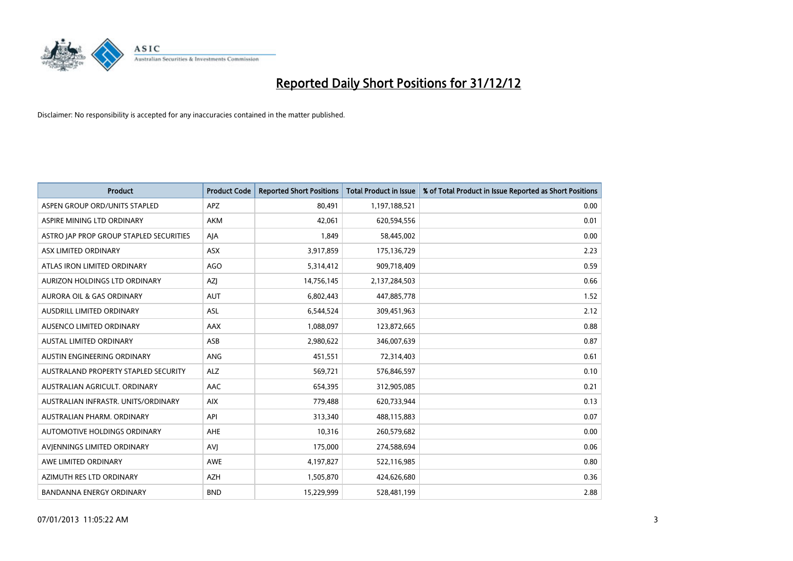

| <b>Product</b>                              | <b>Product Code</b> | <b>Reported Short Positions</b> | <b>Total Product in Issue</b> | % of Total Product in Issue Reported as Short Positions |
|---------------------------------------------|---------------------|---------------------------------|-------------------------------|---------------------------------------------------------|
| ASPEN GROUP ORD/UNITS STAPLED               | <b>APZ</b>          | 80,491                          | 1,197,188,521                 | 0.00                                                    |
| ASPIRE MINING LTD ORDINARY                  | <b>AKM</b>          | 42,061                          | 620,594,556                   | 0.01                                                    |
| ASTRO JAP PROP GROUP STAPLED SECURITIES     | AJA                 | 1,849                           | 58,445,002                    | 0.00                                                    |
| ASX LIMITED ORDINARY                        | ASX                 | 3,917,859                       | 175,136,729                   | 2.23                                                    |
| ATLAS IRON LIMITED ORDINARY                 | AGO                 | 5,314,412                       | 909,718,409                   | 0.59                                                    |
| AURIZON HOLDINGS LTD ORDINARY               | <b>AZI</b>          | 14,756,145                      | 2,137,284,503                 | 0.66                                                    |
| AURORA OIL & GAS ORDINARY                   | <b>AUT</b>          | 6,802,443                       | 447,885,778                   | 1.52                                                    |
| AUSDRILL LIMITED ORDINARY                   | ASL                 | 6,544,524                       | 309,451,963                   | 2.12                                                    |
| AUSENCO LIMITED ORDINARY                    | AAX                 | 1,088,097                       | 123,872,665                   | 0.88                                                    |
| <b>AUSTAL LIMITED ORDINARY</b>              | ASB                 | 2,980,622                       | 346,007,639                   | 0.87                                                    |
| AUSTIN ENGINEERING ORDINARY                 | ANG                 | 451,551                         | 72,314,403                    | 0.61                                                    |
| <b>AUSTRALAND PROPERTY STAPLED SECURITY</b> | <b>ALZ</b>          | 569,721                         | 576,846,597                   | 0.10                                                    |
| AUSTRALIAN AGRICULT. ORDINARY               | AAC                 | 654,395                         | 312,905,085                   | 0.21                                                    |
| AUSTRALIAN INFRASTR. UNITS/ORDINARY         | <b>AIX</b>          | 779,488                         | 620,733,944                   | 0.13                                                    |
| AUSTRALIAN PHARM, ORDINARY                  | API                 | 313,340                         | 488,115,883                   | 0.07                                                    |
| AUTOMOTIVE HOLDINGS ORDINARY                | AHE                 | 10,316                          | 260,579,682                   | 0.00                                                    |
| AVIENNINGS LIMITED ORDINARY                 | AVI                 | 175,000                         | 274,588,694                   | 0.06                                                    |
| AWE LIMITED ORDINARY                        | <b>AWE</b>          | 4,197,827                       | 522,116,985                   | 0.80                                                    |
| AZIMUTH RES LTD ORDINARY                    | <b>AZH</b>          | 1,505,870                       | 424,626,680                   | 0.36                                                    |
| <b>BANDANNA ENERGY ORDINARY</b>             | <b>BND</b>          | 15,229,999                      | 528,481,199                   | 2.88                                                    |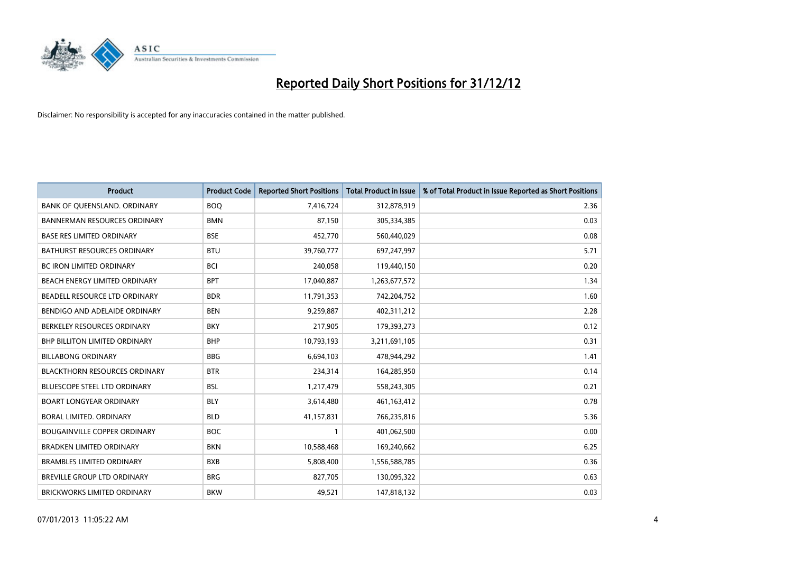

| <b>Product</b>                       | <b>Product Code</b> | <b>Reported Short Positions</b> | <b>Total Product in Issue</b> | % of Total Product in Issue Reported as Short Positions |
|--------------------------------------|---------------------|---------------------------------|-------------------------------|---------------------------------------------------------|
| BANK OF QUEENSLAND. ORDINARY         | <b>BOQ</b>          | 7,416,724                       | 312,878,919                   | 2.36                                                    |
| <b>BANNERMAN RESOURCES ORDINARY</b>  | <b>BMN</b>          | 87,150                          | 305,334,385                   | 0.03                                                    |
| <b>BASE RES LIMITED ORDINARY</b>     | <b>BSE</b>          | 452,770                         | 560,440,029                   | 0.08                                                    |
| BATHURST RESOURCES ORDINARY          | <b>BTU</b>          | 39,760,777                      | 697,247,997                   | 5.71                                                    |
| BC IRON LIMITED ORDINARY             | <b>BCI</b>          | 240,058                         | 119,440,150                   | 0.20                                                    |
| BEACH ENERGY LIMITED ORDINARY        | <b>BPT</b>          | 17,040,887                      | 1,263,677,572                 | 1.34                                                    |
| BEADELL RESOURCE LTD ORDINARY        | <b>BDR</b>          | 11,791,353                      | 742,204,752                   | 1.60                                                    |
| BENDIGO AND ADELAIDE ORDINARY        | <b>BEN</b>          | 9,259,887                       | 402,311,212                   | 2.28                                                    |
| BERKELEY RESOURCES ORDINARY          | <b>BKY</b>          | 217,905                         | 179,393,273                   | 0.12                                                    |
| <b>BHP BILLITON LIMITED ORDINARY</b> | <b>BHP</b>          | 10,793,193                      | 3,211,691,105                 | 0.31                                                    |
| <b>BILLABONG ORDINARY</b>            | <b>BBG</b>          | 6,694,103                       | 478,944,292                   | 1.41                                                    |
| <b>BLACKTHORN RESOURCES ORDINARY</b> | <b>BTR</b>          | 234,314                         | 164,285,950                   | 0.14                                                    |
| <b>BLUESCOPE STEEL LTD ORDINARY</b>  | <b>BSL</b>          | 1,217,479                       | 558,243,305                   | 0.21                                                    |
| <b>BOART LONGYEAR ORDINARY</b>       | <b>BLY</b>          | 3,614,480                       | 461,163,412                   | 0.78                                                    |
| BORAL LIMITED, ORDINARY              | <b>BLD</b>          | 41,157,831                      | 766,235,816                   | 5.36                                                    |
| <b>BOUGAINVILLE COPPER ORDINARY</b>  | <b>BOC</b>          |                                 | 401,062,500                   | 0.00                                                    |
| <b>BRADKEN LIMITED ORDINARY</b>      | <b>BKN</b>          | 10,588,468                      | 169,240,662                   | 6.25                                                    |
| <b>BRAMBLES LIMITED ORDINARY</b>     | <b>BXB</b>          | 5,808,400                       | 1,556,588,785                 | 0.36                                                    |
| <b>BREVILLE GROUP LTD ORDINARY</b>   | <b>BRG</b>          | 827,705                         | 130,095,322                   | 0.63                                                    |
| BRICKWORKS LIMITED ORDINARY          | <b>BKW</b>          | 49,521                          | 147,818,132                   | 0.03                                                    |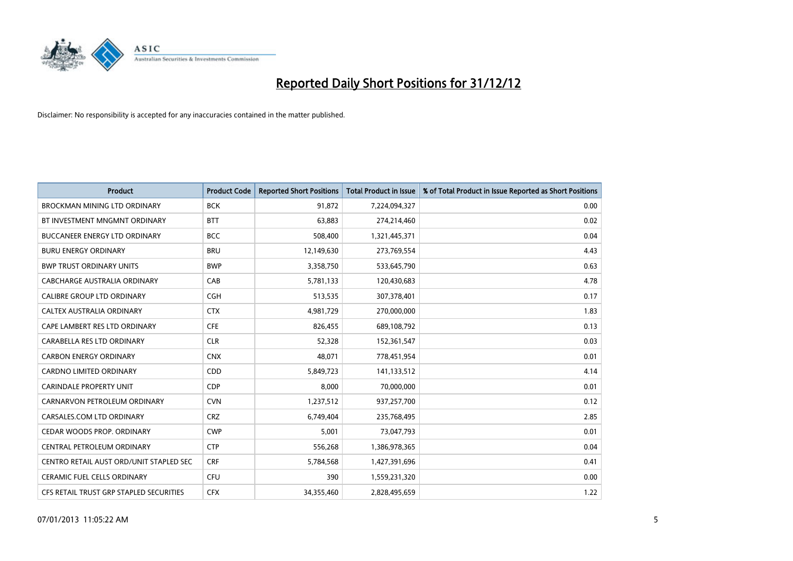

| <b>Product</b>                          | <b>Product Code</b> | <b>Reported Short Positions</b> | <b>Total Product in Issue</b> | % of Total Product in Issue Reported as Short Positions |
|-----------------------------------------|---------------------|---------------------------------|-------------------------------|---------------------------------------------------------|
| <b>BROCKMAN MINING LTD ORDINARY</b>     | <b>BCK</b>          | 91,872                          | 7,224,094,327                 | 0.00                                                    |
| BT INVESTMENT MNGMNT ORDINARY           | <b>BTT</b>          | 63,883                          | 274,214,460                   | 0.02                                                    |
| <b>BUCCANEER ENERGY LTD ORDINARY</b>    | <b>BCC</b>          | 508,400                         | 1,321,445,371                 | 0.04                                                    |
| <b>BURU ENERGY ORDINARY</b>             | <b>BRU</b>          | 12,149,630                      | 273,769,554                   | 4.43                                                    |
| <b>BWP TRUST ORDINARY UNITS</b>         | <b>BWP</b>          | 3,358,750                       | 533,645,790                   | 0.63                                                    |
| CABCHARGE AUSTRALIA ORDINARY            | CAB                 | 5,781,133                       | 120,430,683                   | 4.78                                                    |
| <b>CALIBRE GROUP LTD ORDINARY</b>       | <b>CGH</b>          | 513,535                         | 307,378,401                   | 0.17                                                    |
| CALTEX AUSTRALIA ORDINARY               | <b>CTX</b>          | 4,981,729                       | 270,000,000                   | 1.83                                                    |
| CAPE LAMBERT RES LTD ORDINARY           | <b>CFE</b>          | 826,455                         | 689,108,792                   | 0.13                                                    |
| CARABELLA RES LTD ORDINARY              | <b>CLR</b>          | 52,328                          | 152,361,547                   | 0.03                                                    |
| <b>CARBON ENERGY ORDINARY</b>           | <b>CNX</b>          | 48,071                          | 778,451,954                   | 0.01                                                    |
| <b>CARDNO LIMITED ORDINARY</b>          | <b>CDD</b>          | 5,849,723                       | 141,133,512                   | 4.14                                                    |
| <b>CARINDALE PROPERTY UNIT</b>          | <b>CDP</b>          | 8,000                           | 70,000,000                    | 0.01                                                    |
| CARNARVON PETROLEUM ORDINARY            | <b>CVN</b>          | 1,237,512                       | 937,257,700                   | 0.12                                                    |
| CARSALES.COM LTD ORDINARY               | <b>CRZ</b>          | 6,749,404                       | 235,768,495                   | 2.85                                                    |
| CEDAR WOODS PROP. ORDINARY              | <b>CWP</b>          | 5,001                           | 73,047,793                    | 0.01                                                    |
| CENTRAL PETROLEUM ORDINARY              | <b>CTP</b>          | 556,268                         | 1,386,978,365                 | 0.04                                                    |
| CENTRO RETAIL AUST ORD/UNIT STAPLED SEC | <b>CRF</b>          | 5,784,568                       | 1,427,391,696                 | 0.41                                                    |
| CERAMIC FUEL CELLS ORDINARY             | CFU                 | 390                             | 1,559,231,320                 | 0.00                                                    |
| CFS RETAIL TRUST GRP STAPLED SECURITIES | <b>CFX</b>          | 34,355,460                      | 2,828,495,659                 | 1.22                                                    |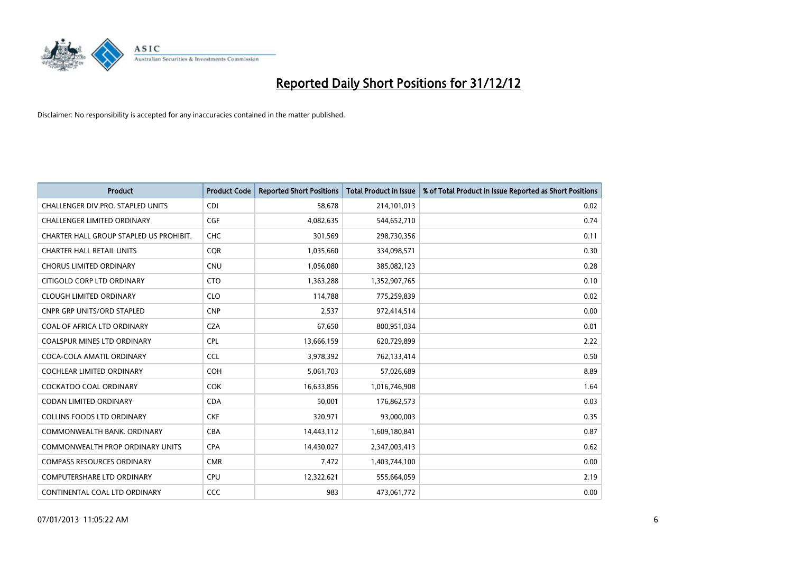

| <b>Product</b>                          | <b>Product Code</b> | <b>Reported Short Positions</b> | <b>Total Product in Issue</b> | % of Total Product in Issue Reported as Short Positions |
|-----------------------------------------|---------------------|---------------------------------|-------------------------------|---------------------------------------------------------|
| CHALLENGER DIV.PRO. STAPLED UNITS       | <b>CDI</b>          | 58,678                          | 214,101,013                   | 0.02                                                    |
| CHALLENGER LIMITED ORDINARY             | <b>CGF</b>          | 4,082,635                       | 544,652,710                   | 0.74                                                    |
| CHARTER HALL GROUP STAPLED US PROHIBIT. | <b>CHC</b>          | 301,569                         | 298,730,356                   | 0.11                                                    |
| <b>CHARTER HALL RETAIL UNITS</b>        | <b>CQR</b>          | 1,035,660                       | 334,098,571                   | 0.30                                                    |
| <b>CHORUS LIMITED ORDINARY</b>          | <b>CNU</b>          | 1,056,080                       | 385,082,123                   | 0.28                                                    |
| CITIGOLD CORP LTD ORDINARY              | <b>CTO</b>          | 1,363,288                       | 1,352,907,765                 | 0.10                                                    |
| <b>CLOUGH LIMITED ORDINARY</b>          | <b>CLO</b>          | 114,788                         | 775,259,839                   | 0.02                                                    |
| CNPR GRP UNITS/ORD STAPLED              | <b>CNP</b>          | 2,537                           | 972,414,514                   | 0.00                                                    |
| COAL OF AFRICA LTD ORDINARY             | <b>CZA</b>          | 67,650                          | 800,951,034                   | 0.01                                                    |
| <b>COALSPUR MINES LTD ORDINARY</b>      | <b>CPL</b>          | 13,666,159                      | 620,729,899                   | 2.22                                                    |
| COCA-COLA AMATIL ORDINARY               | <b>CCL</b>          | 3,978,392                       | 762,133,414                   | 0.50                                                    |
| COCHLEAR LIMITED ORDINARY               | <b>COH</b>          | 5,061,703                       | 57,026,689                    | 8.89                                                    |
| <b>COCKATOO COAL ORDINARY</b>           | COK                 | 16,633,856                      | 1,016,746,908                 | 1.64                                                    |
| <b>CODAN LIMITED ORDINARY</b>           | <b>CDA</b>          | 50,001                          | 176,862,573                   | 0.03                                                    |
| <b>COLLINS FOODS LTD ORDINARY</b>       | <b>CKF</b>          | 320,971                         | 93,000,003                    | 0.35                                                    |
| COMMONWEALTH BANK, ORDINARY             | CBA                 | 14,443,112                      | 1,609,180,841                 | 0.87                                                    |
| <b>COMMONWEALTH PROP ORDINARY UNITS</b> | <b>CPA</b>          | 14,430,027                      | 2,347,003,413                 | 0.62                                                    |
| <b>COMPASS RESOURCES ORDINARY</b>       | <b>CMR</b>          | 7,472                           | 1,403,744,100                 | 0.00                                                    |
| <b>COMPUTERSHARE LTD ORDINARY</b>       | <b>CPU</b>          | 12,322,621                      | 555,664,059                   | 2.19                                                    |
| CONTINENTAL COAL LTD ORDINARY           | CCC                 | 983                             | 473,061,772                   | 0.00                                                    |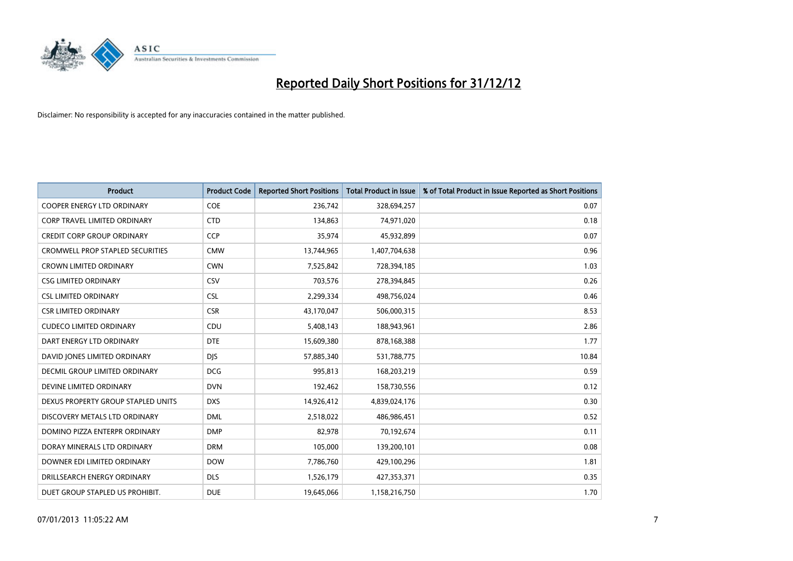

| <b>Product</b>                          | <b>Product Code</b> | <b>Reported Short Positions</b> | <b>Total Product in Issue</b> | % of Total Product in Issue Reported as Short Positions |
|-----------------------------------------|---------------------|---------------------------------|-------------------------------|---------------------------------------------------------|
| <b>COOPER ENERGY LTD ORDINARY</b>       | <b>COE</b>          | 236,742                         | 328,694,257                   | 0.07                                                    |
| CORP TRAVEL LIMITED ORDINARY            | <b>CTD</b>          | 134,863                         | 74,971,020                    | 0.18                                                    |
| <b>CREDIT CORP GROUP ORDINARY</b>       | <b>CCP</b>          | 35,974                          | 45,932,899                    | 0.07                                                    |
| <b>CROMWELL PROP STAPLED SECURITIES</b> | <b>CMW</b>          | 13,744,965                      | 1,407,704,638                 | 0.96                                                    |
| <b>CROWN LIMITED ORDINARY</b>           | <b>CWN</b>          | 7,525,842                       | 728,394,185                   | 1.03                                                    |
| <b>CSG LIMITED ORDINARY</b>             | CSV                 | 703,576                         | 278,394,845                   | 0.26                                                    |
| <b>CSL LIMITED ORDINARY</b>             | <b>CSL</b>          | 2,299,334                       | 498,756,024                   | 0.46                                                    |
| <b>CSR LIMITED ORDINARY</b>             | <b>CSR</b>          | 43,170,047                      | 506,000,315                   | 8.53                                                    |
| <b>CUDECO LIMITED ORDINARY</b>          | CDU                 | 5,408,143                       | 188,943,961                   | 2.86                                                    |
| DART ENERGY LTD ORDINARY                | <b>DTE</b>          | 15,609,380                      | 878,168,388                   | 1.77                                                    |
| DAVID JONES LIMITED ORDINARY            | <b>DJS</b>          | 57,885,340                      | 531,788,775                   | 10.84                                                   |
| <b>DECMIL GROUP LIMITED ORDINARY</b>    | <b>DCG</b>          | 995,813                         | 168,203,219                   | 0.59                                                    |
| DEVINE LIMITED ORDINARY                 | <b>DVN</b>          | 192,462                         | 158,730,556                   | 0.12                                                    |
| DEXUS PROPERTY GROUP STAPLED UNITS      | <b>DXS</b>          | 14,926,412                      | 4,839,024,176                 | 0.30                                                    |
| DISCOVERY METALS LTD ORDINARY           | <b>DML</b>          | 2,518,022                       | 486,986,451                   | 0.52                                                    |
| DOMINO PIZZA ENTERPR ORDINARY           | <b>DMP</b>          | 82,978                          | 70,192,674                    | 0.11                                                    |
| DORAY MINERALS LTD ORDINARY             | <b>DRM</b>          | 105,000                         | 139,200,101                   | 0.08                                                    |
| DOWNER EDI LIMITED ORDINARY             | <b>DOW</b>          | 7,786,760                       | 429,100,296                   | 1.81                                                    |
| DRILLSEARCH ENERGY ORDINARY             | <b>DLS</b>          | 1,526,179                       | 427,353,371                   | 0.35                                                    |
| DUET GROUP STAPLED US PROHIBIT.         | <b>DUE</b>          | 19,645,066                      | 1,158,216,750                 | 1.70                                                    |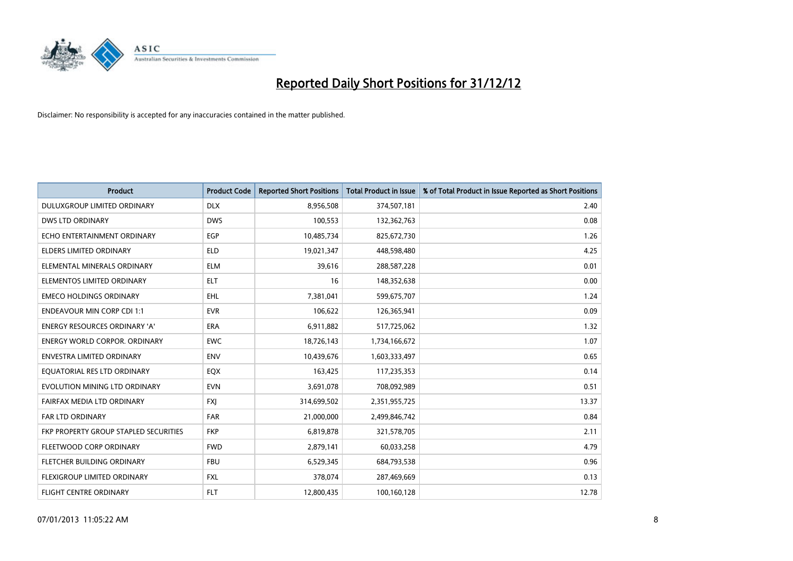

| <b>Product</b>                        | <b>Product Code</b> | <b>Reported Short Positions</b> | <b>Total Product in Issue</b> | % of Total Product in Issue Reported as Short Positions |
|---------------------------------------|---------------------|---------------------------------|-------------------------------|---------------------------------------------------------|
| DULUXGROUP LIMITED ORDINARY           | <b>DLX</b>          | 8,956,508                       | 374,507,181                   | 2.40                                                    |
| <b>DWS LTD ORDINARY</b>               | <b>DWS</b>          | 100,553                         | 132,362,763                   | 0.08                                                    |
| ECHO ENTERTAINMENT ORDINARY           | EGP                 | 10,485,734                      | 825,672,730                   | 1.26                                                    |
| ELDERS LIMITED ORDINARY               | <b>ELD</b>          | 19,021,347                      | 448,598,480                   | 4.25                                                    |
| ELEMENTAL MINERALS ORDINARY           | <b>ELM</b>          | 39.616                          | 288,587,228                   | 0.01                                                    |
| ELEMENTOS LIMITED ORDINARY            | <b>ELT</b>          | 16                              | 148,352,638                   | 0.00                                                    |
| <b>EMECO HOLDINGS ORDINARY</b>        | <b>EHL</b>          | 7.381.041                       | 599,675,707                   | 1.24                                                    |
| <b>ENDEAVOUR MIN CORP CDI 1:1</b>     | <b>EVR</b>          | 106,622                         | 126,365,941                   | 0.09                                                    |
| ENERGY RESOURCES ORDINARY 'A'         | <b>ERA</b>          | 6,911,882                       | 517,725,062                   | 1.32                                                    |
| <b>ENERGY WORLD CORPOR, ORDINARY</b>  | <b>EWC</b>          | 18,726,143                      | 1,734,166,672                 | 1.07                                                    |
| <b>ENVESTRA LIMITED ORDINARY</b>      | <b>ENV</b>          | 10,439,676                      | 1,603,333,497                 | 0.65                                                    |
| EQUATORIAL RES LTD ORDINARY           | EQX                 | 163,425                         | 117,235,353                   | 0.14                                                    |
| EVOLUTION MINING LTD ORDINARY         | <b>EVN</b>          | 3,691,078                       | 708,092,989                   | 0.51                                                    |
| FAIRFAX MEDIA LTD ORDINARY            | <b>FXI</b>          | 314,699,502                     | 2,351,955,725                 | 13.37                                                   |
| FAR LTD ORDINARY                      | <b>FAR</b>          | 21,000,000                      | 2,499,846,742                 | 0.84                                                    |
| FKP PROPERTY GROUP STAPLED SECURITIES | <b>FKP</b>          | 6,819,878                       | 321,578,705                   | 2.11                                                    |
| FLEETWOOD CORP ORDINARY               | <b>FWD</b>          | 2,879,141                       | 60,033,258                    | 4.79                                                    |
| FLETCHER BUILDING ORDINARY            | <b>FBU</b>          | 6,529,345                       | 684,793,538                   | 0.96                                                    |
| <b>FLEXIGROUP LIMITED ORDINARY</b>    | <b>FXL</b>          | 378,074                         | 287,469,669                   | 0.13                                                    |
| <b>FLIGHT CENTRE ORDINARY</b>         | <b>FLT</b>          | 12,800,435                      | 100,160,128                   | 12.78                                                   |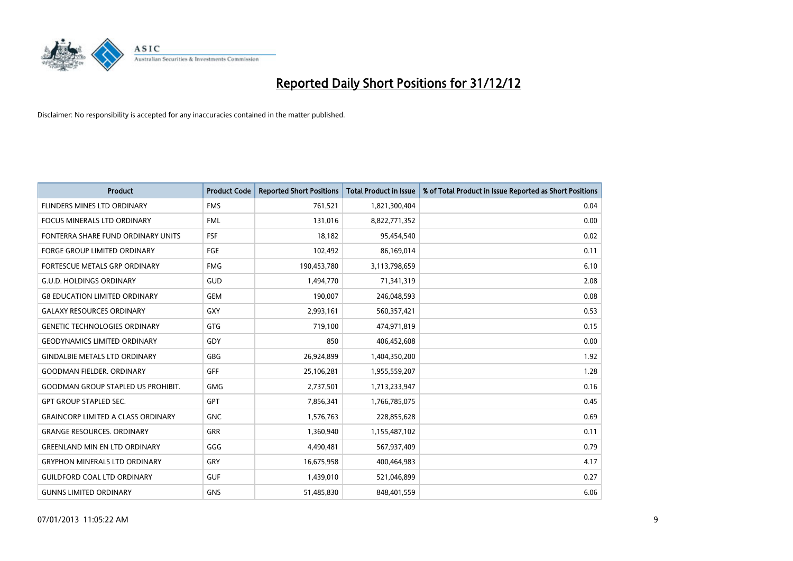

| <b>Product</b>                            | <b>Product Code</b> | <b>Reported Short Positions</b> | <b>Total Product in Issue</b> | % of Total Product in Issue Reported as Short Positions |
|-------------------------------------------|---------------------|---------------------------------|-------------------------------|---------------------------------------------------------|
| FLINDERS MINES LTD ORDINARY               | <b>FMS</b>          | 761,521                         | 1,821,300,404                 | 0.04                                                    |
| FOCUS MINERALS LTD ORDINARY               | <b>FML</b>          | 131,016                         | 8,822,771,352                 | 0.00                                                    |
| FONTERRA SHARE FUND ORDINARY UNITS        | <b>FSF</b>          | 18,182                          | 95,454,540                    | 0.02                                                    |
| FORGE GROUP LIMITED ORDINARY              | <b>FGE</b>          | 102,492                         | 86,169,014                    | 0.11                                                    |
| <b>FORTESCUE METALS GRP ORDINARY</b>      | <b>FMG</b>          | 190,453,780                     | 3,113,798,659                 | 6.10                                                    |
| <b>G.U.D. HOLDINGS ORDINARY</b>           | <b>GUD</b>          | 1,494,770                       | 71,341,319                    | 2.08                                                    |
| <b>G8 EDUCATION LIMITED ORDINARY</b>      | <b>GEM</b>          | 190.007                         | 246,048,593                   | 0.08                                                    |
| <b>GALAXY RESOURCES ORDINARY</b>          | GXY                 | 2,993,161                       | 560,357,421                   | 0.53                                                    |
| <b>GENETIC TECHNOLOGIES ORDINARY</b>      | <b>GTG</b>          | 719,100                         | 474,971,819                   | 0.15                                                    |
| <b>GEODYNAMICS LIMITED ORDINARY</b>       | GDY                 | 850                             | 406,452,608                   | 0.00                                                    |
| <b>GINDALBIE METALS LTD ORDINARY</b>      | <b>GBG</b>          | 26,924,899                      | 1,404,350,200                 | 1.92                                                    |
| <b>GOODMAN FIELDER, ORDINARY</b>          | <b>GFF</b>          | 25,106,281                      | 1,955,559,207                 | 1.28                                                    |
| <b>GOODMAN GROUP STAPLED US PROHIBIT.</b> | <b>GMG</b>          | 2,737,501                       | 1,713,233,947                 | 0.16                                                    |
| <b>GPT GROUP STAPLED SEC.</b>             | <b>GPT</b>          | 7,856,341                       | 1,766,785,075                 | 0.45                                                    |
| <b>GRAINCORP LIMITED A CLASS ORDINARY</b> | <b>GNC</b>          | 1,576,763                       | 228,855,628                   | 0.69                                                    |
| <b>GRANGE RESOURCES. ORDINARY</b>         | <b>GRR</b>          | 1,360,940                       | 1,155,487,102                 | 0.11                                                    |
| <b>GREENLAND MIN EN LTD ORDINARY</b>      | GGG                 | 4,490,481                       | 567,937,409                   | 0.79                                                    |
| <b>GRYPHON MINERALS LTD ORDINARY</b>      | GRY                 | 16,675,958                      | 400,464,983                   | 4.17                                                    |
| <b>GUILDFORD COAL LTD ORDINARY</b>        | <b>GUF</b>          | 1,439,010                       | 521,046,899                   | 0.27                                                    |
| <b>GUNNS LIMITED ORDINARY</b>             | <b>GNS</b>          | 51,485,830                      | 848,401,559                   | 6.06                                                    |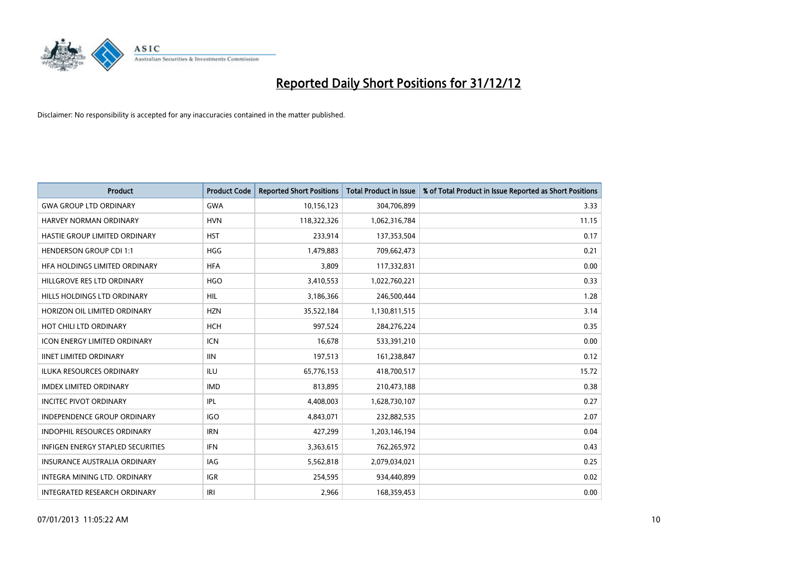

| <b>Product</b>                           | <b>Product Code</b> | <b>Reported Short Positions</b> | <b>Total Product in Issue</b> | % of Total Product in Issue Reported as Short Positions |
|------------------------------------------|---------------------|---------------------------------|-------------------------------|---------------------------------------------------------|
| <b>GWA GROUP LTD ORDINARY</b>            | <b>GWA</b>          | 10,156,123                      | 304,706,899                   | 3.33                                                    |
| <b>HARVEY NORMAN ORDINARY</b>            | <b>HVN</b>          | 118,322,326                     | 1,062,316,784                 | 11.15                                                   |
| HASTIE GROUP LIMITED ORDINARY            | <b>HST</b>          | 233,914                         | 137,353,504                   | 0.17                                                    |
| <b>HENDERSON GROUP CDI 1:1</b>           | <b>HGG</b>          | 1,479,883                       | 709,662,473                   | 0.21                                                    |
| HFA HOLDINGS LIMITED ORDINARY            | <b>HFA</b>          | 3.809                           | 117,332,831                   | 0.00                                                    |
| HILLGROVE RES LTD ORDINARY               | <b>HGO</b>          | 3,410,553                       | 1,022,760,221                 | 0.33                                                    |
| HILLS HOLDINGS LTD ORDINARY              | <b>HIL</b>          | 3,186,366                       | 246,500,444                   | 1.28                                                    |
| HORIZON OIL LIMITED ORDINARY             | <b>HZN</b>          | 35,522,184                      | 1,130,811,515                 | 3.14                                                    |
| HOT CHILI LTD ORDINARY                   | <b>HCH</b>          | 997,524                         | 284,276,224                   | 0.35                                                    |
| <b>ICON ENERGY LIMITED ORDINARY</b>      | <b>ICN</b>          | 16,678                          | 533,391,210                   | 0.00                                                    |
| <b>IINET LIMITED ORDINARY</b>            | <b>IIN</b>          | 197,513                         | 161,238,847                   | 0.12                                                    |
| <b>ILUKA RESOURCES ORDINARY</b>          | ILU                 | 65,776,153                      | 418,700,517                   | 15.72                                                   |
| <b>IMDEX LIMITED ORDINARY</b>            | <b>IMD</b>          | 813,895                         | 210,473,188                   | 0.38                                                    |
| <b>INCITEC PIVOT ORDINARY</b>            | IPL                 | 4,408,003                       | 1,628,730,107                 | 0.27                                                    |
| <b>INDEPENDENCE GROUP ORDINARY</b>       | <b>IGO</b>          | 4,843,071                       | 232,882,535                   | 2.07                                                    |
| <b>INDOPHIL RESOURCES ORDINARY</b>       | <b>IRN</b>          | 427,299                         | 1,203,146,194                 | 0.04                                                    |
| <b>INFIGEN ENERGY STAPLED SECURITIES</b> | <b>IFN</b>          | 3,363,615                       | 762,265,972                   | 0.43                                                    |
| INSURANCE AUSTRALIA ORDINARY             | IAG                 | 5,562,818                       | 2,079,034,021                 | 0.25                                                    |
| <b>INTEGRA MINING LTD, ORDINARY</b>      | <b>IGR</b>          | 254,595                         | 934,440,899                   | 0.02                                                    |
| <b>INTEGRATED RESEARCH ORDINARY</b>      | IRI                 | 2.966                           | 168,359,453                   | 0.00                                                    |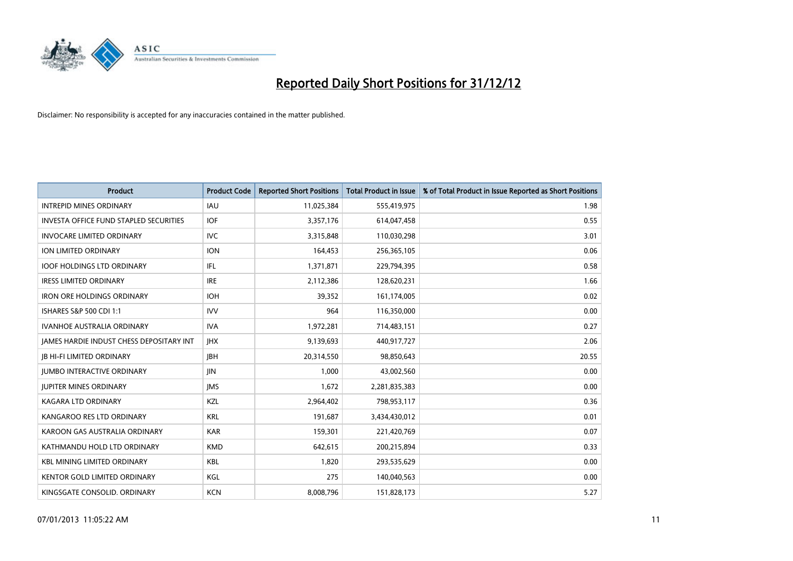

| <b>Product</b>                                  | <b>Product Code</b> | <b>Reported Short Positions</b> | <b>Total Product in Issue</b> | % of Total Product in Issue Reported as Short Positions |
|-------------------------------------------------|---------------------|---------------------------------|-------------------------------|---------------------------------------------------------|
| <b>INTREPID MINES ORDINARY</b>                  | <b>IAU</b>          | 11,025,384                      | 555,419,975                   | 1.98                                                    |
| <b>INVESTA OFFICE FUND STAPLED SECURITIES</b>   | <b>IOF</b>          | 3,357,176                       | 614,047,458                   | 0.55                                                    |
| <b>INVOCARE LIMITED ORDINARY</b>                | <b>IVC</b>          | 3,315,848                       | 110,030,298                   | 3.01                                                    |
| ION LIMITED ORDINARY                            | <b>ION</b>          | 164,453                         | 256,365,105                   | 0.06                                                    |
| <b>IOOF HOLDINGS LTD ORDINARY</b>               | IFL.                | 1,371,871                       | 229,794,395                   | 0.58                                                    |
| <b>IRESS LIMITED ORDINARY</b>                   | <b>IRE</b>          | 2,112,386                       | 128,620,231                   | 1.66                                                    |
| <b>IRON ORE HOLDINGS ORDINARY</b>               | <b>IOH</b>          | 39,352                          | 161,174,005                   | 0.02                                                    |
| ISHARES S&P 500 CDI 1:1                         | <b>IVV</b>          | 964                             | 116,350,000                   | 0.00                                                    |
| <b>IVANHOE AUSTRALIA ORDINARY</b>               | <b>IVA</b>          | 1,972,281                       | 714,483,151                   | 0.27                                                    |
| <b>JAMES HARDIE INDUST CHESS DEPOSITARY INT</b> | <b>IHX</b>          | 9,139,693                       | 440,917,727                   | 2.06                                                    |
| <b>IB HI-FI LIMITED ORDINARY</b>                | <b>IBH</b>          | 20,314,550                      | 98,850,643                    | 20.55                                                   |
| <b>JUMBO INTERACTIVE ORDINARY</b>               | <b>JIN</b>          | 1,000                           | 43,002,560                    | 0.00                                                    |
| <b>JUPITER MINES ORDINARY</b>                   | <b>IMS</b>          | 1,672                           | 2,281,835,383                 | 0.00                                                    |
| <b>KAGARA LTD ORDINARY</b>                      | KZL                 | 2,964,402                       | 798,953,117                   | 0.36                                                    |
| KANGAROO RES LTD ORDINARY                       | <b>KRL</b>          | 191,687                         | 3,434,430,012                 | 0.01                                                    |
| KAROON GAS AUSTRALIA ORDINARY                   | <b>KAR</b>          | 159,301                         | 221,420,769                   | 0.07                                                    |
| KATHMANDU HOLD LTD ORDINARY                     | <b>KMD</b>          | 642,615                         | 200,215,894                   | 0.33                                                    |
| <b>KBL MINING LIMITED ORDINARY</b>              | <b>KBL</b>          | 1,820                           | 293,535,629                   | 0.00                                                    |
| <b>KENTOR GOLD LIMITED ORDINARY</b>             | KGL                 | 275                             | 140,040,563                   | 0.00                                                    |
| KINGSGATE CONSOLID. ORDINARY                    | <b>KCN</b>          | 8,008,796                       | 151,828,173                   | 5.27                                                    |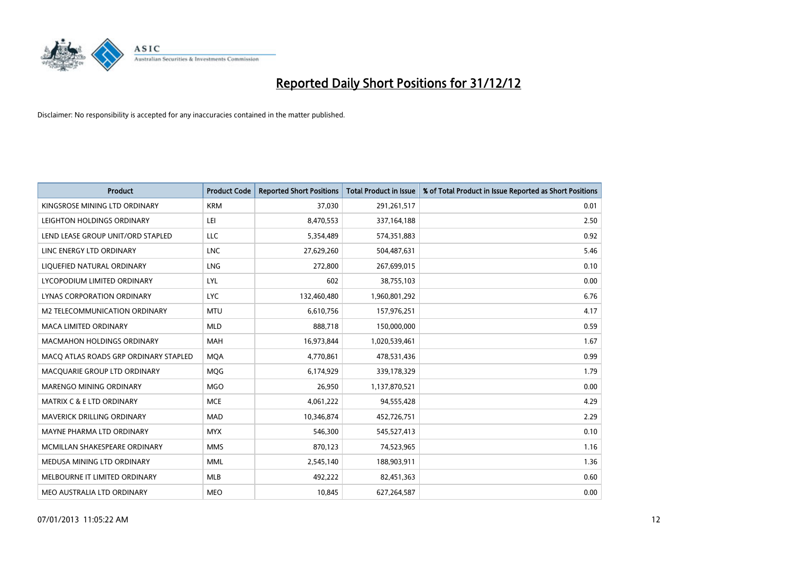

| <b>Product</b>                        | <b>Product Code</b> | <b>Reported Short Positions</b> | <b>Total Product in Issue</b> | % of Total Product in Issue Reported as Short Positions |
|---------------------------------------|---------------------|---------------------------------|-------------------------------|---------------------------------------------------------|
| KINGSROSE MINING LTD ORDINARY         | <b>KRM</b>          | 37,030                          | 291,261,517                   | 0.01                                                    |
| LEIGHTON HOLDINGS ORDINARY            | LEI                 | 8,470,553                       | 337, 164, 188                 | 2.50                                                    |
| LEND LEASE GROUP UNIT/ORD STAPLED     | LLC                 | 5,354,489                       | 574,351,883                   | 0.92                                                    |
| LINC ENERGY LTD ORDINARY              | <b>LNC</b>          | 27,629,260                      | 504,487,631                   | 5.46                                                    |
| LIQUEFIED NATURAL ORDINARY            | <b>LNG</b>          | 272,800                         | 267,699,015                   | 0.10                                                    |
| LYCOPODIUM LIMITED ORDINARY           | LYL                 | 602                             | 38,755,103                    | 0.00                                                    |
| LYNAS CORPORATION ORDINARY            | <b>LYC</b>          | 132,460,480                     | 1,960,801,292                 | 6.76                                                    |
| M2 TELECOMMUNICATION ORDINARY         | <b>MTU</b>          | 6,610,756                       | 157,976,251                   | 4.17                                                    |
| <b>MACA LIMITED ORDINARY</b>          | <b>MLD</b>          | 888,718                         | 150,000,000                   | 0.59                                                    |
| <b>MACMAHON HOLDINGS ORDINARY</b>     | <b>MAH</b>          | 16,973,844                      | 1,020,539,461                 | 1.67                                                    |
| MACQ ATLAS ROADS GRP ORDINARY STAPLED | <b>MOA</b>          | 4,770,861                       | 478,531,436                   | 0.99                                                    |
| MACQUARIE GROUP LTD ORDINARY          | MQG                 | 6,174,929                       | 339,178,329                   | 1.79                                                    |
| MARENGO MINING ORDINARY               | <b>MGO</b>          | 26,950                          | 1,137,870,521                 | 0.00                                                    |
| <b>MATRIX C &amp; E LTD ORDINARY</b>  | <b>MCE</b>          | 4,061,222                       | 94,555,428                    | 4.29                                                    |
| MAVERICK DRILLING ORDINARY            | <b>MAD</b>          | 10,346,874                      | 452,726,751                   | 2.29                                                    |
| MAYNE PHARMA LTD ORDINARY             | <b>MYX</b>          | 546,300                         | 545,527,413                   | 0.10                                                    |
| MCMILLAN SHAKESPEARE ORDINARY         | <b>MMS</b>          | 870,123                         | 74,523,965                    | 1.16                                                    |
| MEDUSA MINING LTD ORDINARY            | <b>MML</b>          | 2,545,140                       | 188,903,911                   | 1.36                                                    |
| MELBOURNE IT LIMITED ORDINARY         | <b>MLB</b>          | 492,222                         | 82,451,363                    | 0.60                                                    |
| MEO AUSTRALIA LTD ORDINARY            | <b>MEO</b>          | 10,845                          | 627,264,587                   | 0.00                                                    |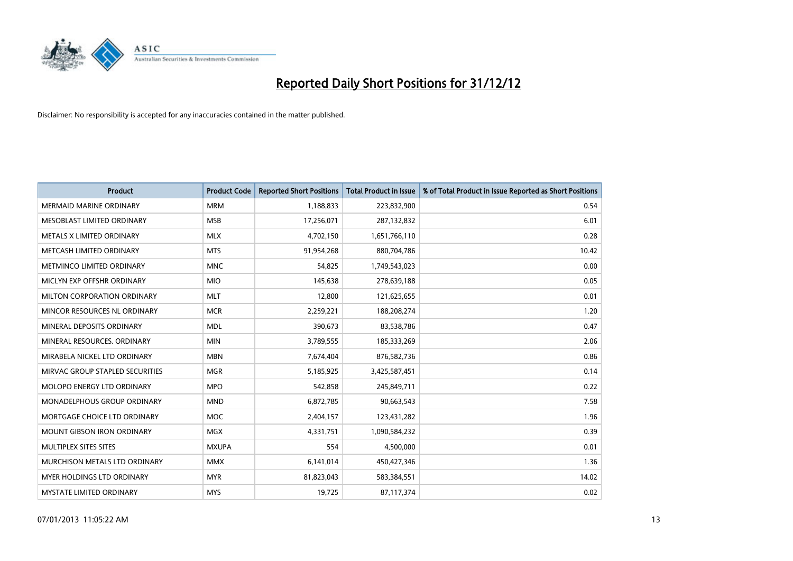

| <b>Product</b>                     | <b>Product Code</b> | <b>Reported Short Positions</b> | <b>Total Product in Issue</b> | % of Total Product in Issue Reported as Short Positions |
|------------------------------------|---------------------|---------------------------------|-------------------------------|---------------------------------------------------------|
| <b>MERMAID MARINE ORDINARY</b>     | <b>MRM</b>          | 1,188,833                       | 223,832,900                   | 0.54                                                    |
| <b>MESOBLAST LIMITED ORDINARY</b>  | <b>MSB</b>          | 17,256,071                      | 287,132,832                   | 6.01                                                    |
| <b>METALS X LIMITED ORDINARY</b>   | <b>MLX</b>          | 4,702,150                       | 1,651,766,110                 | 0.28                                                    |
| METCASH LIMITED ORDINARY           | <b>MTS</b>          | 91,954,268                      | 880,704,786                   | 10.42                                                   |
| METMINCO LIMITED ORDINARY          | <b>MNC</b>          | 54,825                          | 1,749,543,023                 | 0.00                                                    |
| MICLYN EXP OFFSHR ORDINARY         | <b>MIO</b>          | 145,638                         | 278,639,188                   | 0.05                                                    |
| MILTON CORPORATION ORDINARY        | <b>MLT</b>          | 12,800                          | 121,625,655                   | 0.01                                                    |
| MINCOR RESOURCES NL ORDINARY       | <b>MCR</b>          | 2,259,221                       | 188,208,274                   | 1.20                                                    |
| MINERAL DEPOSITS ORDINARY          | <b>MDL</b>          | 390,673                         | 83,538,786                    | 0.47                                                    |
| MINERAL RESOURCES, ORDINARY        | <b>MIN</b>          | 3,789,555                       | 185,333,269                   | 2.06                                                    |
| MIRABELA NICKEL LTD ORDINARY       | <b>MBN</b>          | 7,674,404                       | 876,582,736                   | 0.86                                                    |
| MIRVAC GROUP STAPLED SECURITIES    | <b>MGR</b>          | 5,185,925                       | 3,425,587,451                 | 0.14                                                    |
| MOLOPO ENERGY LTD ORDINARY         | <b>MPO</b>          | 542,858                         | 245,849,711                   | 0.22                                                    |
| <b>MONADELPHOUS GROUP ORDINARY</b> | <b>MND</b>          | 6,872,785                       | 90,663,543                    | 7.58                                                    |
| MORTGAGE CHOICE LTD ORDINARY       | <b>MOC</b>          | 2,404,157                       | 123,431,282                   | 1.96                                                    |
| <b>MOUNT GIBSON IRON ORDINARY</b>  | <b>MGX</b>          | 4,331,751                       | 1,090,584,232                 | 0.39                                                    |
| <b>MULTIPLEX SITES SITES</b>       | <b>MXUPA</b>        | 554                             | 4,500,000                     | 0.01                                                    |
| MURCHISON METALS LTD ORDINARY      | <b>MMX</b>          | 6,141,014                       | 450,427,346                   | 1.36                                                    |
| <b>MYER HOLDINGS LTD ORDINARY</b>  | <b>MYR</b>          | 81,823,043                      | 583,384,551                   | 14.02                                                   |
| MYSTATE LIMITED ORDINARY           | <b>MYS</b>          | 19,725                          | 87,117,374                    | 0.02                                                    |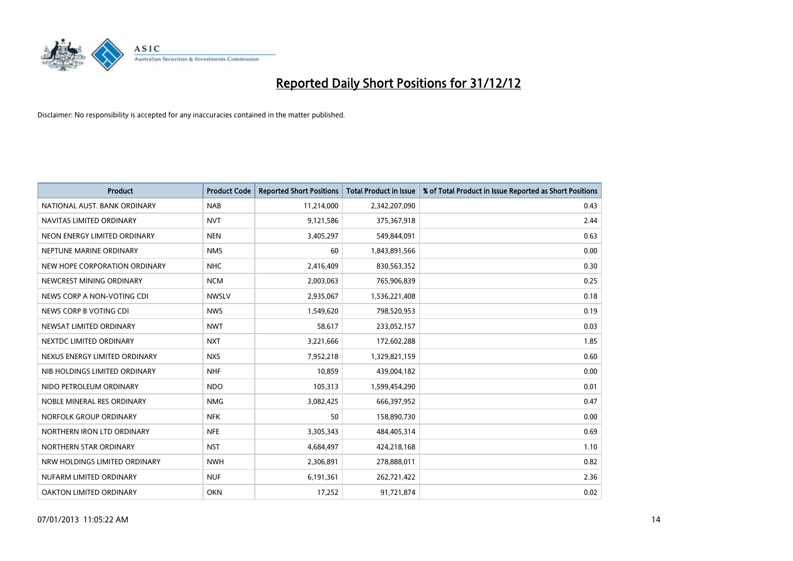

| <b>Product</b>                | <b>Product Code</b> | <b>Reported Short Positions</b> | <b>Total Product in Issue</b> | % of Total Product in Issue Reported as Short Positions |
|-------------------------------|---------------------|---------------------------------|-------------------------------|---------------------------------------------------------|
| NATIONAL AUST. BANK ORDINARY  | <b>NAB</b>          | 11,214,000                      | 2,342,207,090                 | 0.43                                                    |
| NAVITAS LIMITED ORDINARY      | <b>NVT</b>          | 9,121,586                       | 375,367,918                   | 2.44                                                    |
| NEON ENERGY LIMITED ORDINARY  | <b>NEN</b>          | 3,405,297                       | 549,844,091                   | 0.63                                                    |
| NEPTUNE MARINE ORDINARY       | <b>NMS</b>          | 60                              | 1,843,891,566                 | 0.00                                                    |
| NEW HOPE CORPORATION ORDINARY | <b>NHC</b>          | 2,416,409                       | 830,563,352                   | 0.30                                                    |
| NEWCREST MINING ORDINARY      | <b>NCM</b>          | 2,003,063                       | 765,906,839                   | 0.25                                                    |
| NEWS CORP A NON-VOTING CDI    | <b>NWSLV</b>        | 2,935,067                       | 1,536,221,408                 | 0.18                                                    |
| NEWS CORP B VOTING CDI        | <b>NWS</b>          | 1,549,620                       | 798,520,953                   | 0.19                                                    |
| NEWSAT LIMITED ORDINARY       | <b>NWT</b>          | 58,617                          | 233,052,157                   | 0.03                                                    |
| NEXTDC LIMITED ORDINARY       | <b>NXT</b>          | 3,221,666                       | 172,602,288                   | 1.85                                                    |
| NEXUS ENERGY LIMITED ORDINARY | <b>NXS</b>          | 7,952,218                       | 1,329,821,159                 | 0.60                                                    |
| NIB HOLDINGS LIMITED ORDINARY | <b>NHF</b>          | 10,859                          | 439,004,182                   | 0.00                                                    |
| NIDO PETROLEUM ORDINARY       | <b>NDO</b>          | 105,313                         | 1,599,454,290                 | 0.01                                                    |
| NOBLE MINERAL RES ORDINARY    | <b>NMG</b>          | 3,082,425                       | 666,397,952                   | 0.47                                                    |
| NORFOLK GROUP ORDINARY        | <b>NFK</b>          | 50                              | 158,890,730                   | 0.00                                                    |
| NORTHERN IRON LTD ORDINARY    | <b>NFE</b>          | 3,305,343                       | 484,405,314                   | 0.69                                                    |
| NORTHERN STAR ORDINARY        | <b>NST</b>          | 4,684,497                       | 424,218,168                   | 1.10                                                    |
| NRW HOLDINGS LIMITED ORDINARY | <b>NWH</b>          | 2,306,891                       | 278,888,011                   | 0.82                                                    |
| NUFARM LIMITED ORDINARY       | <b>NUF</b>          | 6,191,361                       | 262,721,422                   | 2.36                                                    |
| OAKTON LIMITED ORDINARY       | <b>OKN</b>          | 17,252                          | 91,721,874                    | 0.02                                                    |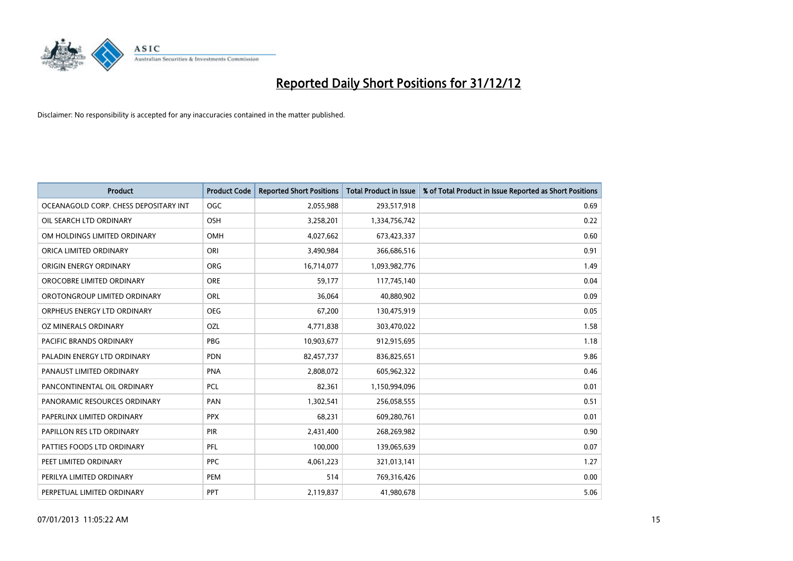

| <b>Product</b>                        | <b>Product Code</b> | <b>Reported Short Positions</b> | <b>Total Product in Issue</b> | % of Total Product in Issue Reported as Short Positions |
|---------------------------------------|---------------------|---------------------------------|-------------------------------|---------------------------------------------------------|
| OCEANAGOLD CORP. CHESS DEPOSITARY INT | <b>OGC</b>          | 2,055,988                       | 293,517,918                   | 0.69                                                    |
| OIL SEARCH LTD ORDINARY               | <b>OSH</b>          | 3,258,201                       | 1,334,756,742                 | 0.22                                                    |
| OM HOLDINGS LIMITED ORDINARY          | <b>OMH</b>          | 4,027,662                       | 673,423,337                   | 0.60                                                    |
| ORICA LIMITED ORDINARY                | ORI                 | 3,490,984                       | 366,686,516                   | 0.91                                                    |
| <b>ORIGIN ENERGY ORDINARY</b>         | <b>ORG</b>          | 16,714,077                      | 1,093,982,776                 | 1.49                                                    |
| OROCOBRE LIMITED ORDINARY             | <b>ORE</b>          | 59,177                          | 117,745,140                   | 0.04                                                    |
| OROTONGROUP LIMITED ORDINARY          | <b>ORL</b>          | 36,064                          | 40,880,902                    | 0.09                                                    |
| ORPHEUS ENERGY LTD ORDINARY           | <b>OEG</b>          | 67,200                          | 130,475,919                   | 0.05                                                    |
| OZ MINERALS ORDINARY                  | OZL                 | 4,771,838                       | 303,470,022                   | 1.58                                                    |
| <b>PACIFIC BRANDS ORDINARY</b>        | <b>PBG</b>          | 10,903,677                      | 912,915,695                   | 1.18                                                    |
| PALADIN ENERGY LTD ORDINARY           | <b>PDN</b>          | 82,457,737                      | 836,825,651                   | 9.86                                                    |
| PANAUST LIMITED ORDINARY              | <b>PNA</b>          | 2,808,072                       | 605,962,322                   | 0.46                                                    |
| PANCONTINENTAL OIL ORDINARY           | <b>PCL</b>          | 82,361                          | 1,150,994,096                 | 0.01                                                    |
| PANORAMIC RESOURCES ORDINARY          | PAN                 | 1,302,541                       | 256,058,555                   | 0.51                                                    |
| PAPERLINX LIMITED ORDINARY            | <b>PPX</b>          | 68,231                          | 609,280,761                   | 0.01                                                    |
| PAPILLON RES LTD ORDINARY             | PIR                 | 2,431,400                       | 268,269,982                   | 0.90                                                    |
| PATTIES FOODS LTD ORDINARY            | PFL                 | 100,000                         | 139,065,639                   | 0.07                                                    |
| PEET LIMITED ORDINARY                 | <b>PPC</b>          | 4,061,223                       | 321,013,141                   | 1.27                                                    |
| PERILYA LIMITED ORDINARY              | PEM                 | 514                             | 769,316,426                   | 0.00                                                    |
| PERPETUAL LIMITED ORDINARY            | <b>PPT</b>          | 2,119,837                       | 41,980,678                    | 5.06                                                    |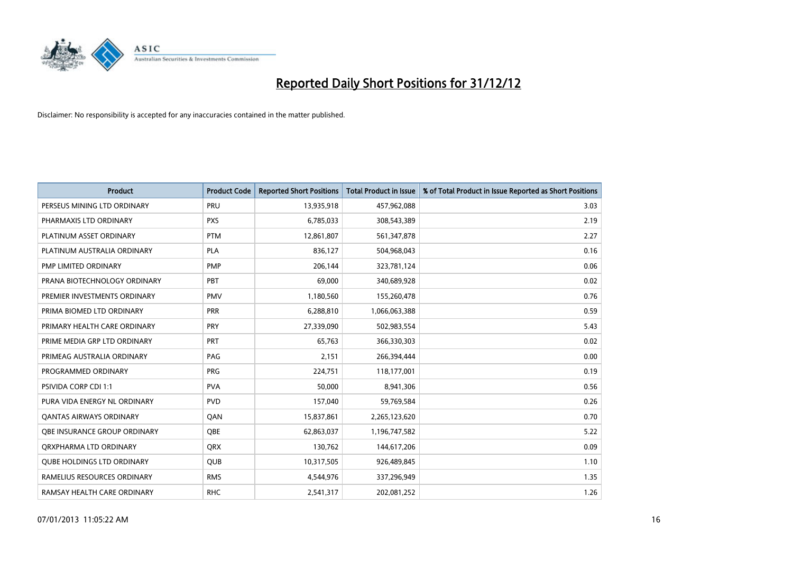

| <b>Product</b>                    | <b>Product Code</b> | <b>Reported Short Positions</b> | <b>Total Product in Issue</b> | % of Total Product in Issue Reported as Short Positions |
|-----------------------------------|---------------------|---------------------------------|-------------------------------|---------------------------------------------------------|
| PERSEUS MINING LTD ORDINARY       | PRU                 | 13,935,918                      | 457,962,088                   | 3.03                                                    |
| PHARMAXIS LTD ORDINARY            | <b>PXS</b>          | 6,785,033                       | 308,543,389                   | 2.19                                                    |
| PLATINUM ASSET ORDINARY           | <b>PTM</b>          | 12,861,807                      | 561,347,878                   | 2.27                                                    |
| PLATINUM AUSTRALIA ORDINARY       | <b>PLA</b>          | 836,127                         | 504,968,043                   | 0.16                                                    |
| PMP LIMITED ORDINARY              | <b>PMP</b>          | 206,144                         | 323,781,124                   | 0.06                                                    |
| PRANA BIOTECHNOLOGY ORDINARY      | PBT                 | 69,000                          | 340,689,928                   | 0.02                                                    |
| PREMIER INVESTMENTS ORDINARY      | <b>PMV</b>          | 1,180,560                       | 155,260,478                   | 0.76                                                    |
| PRIMA BIOMED LTD ORDINARY         | <b>PRR</b>          | 6,288,810                       | 1,066,063,388                 | 0.59                                                    |
| PRIMARY HEALTH CARE ORDINARY      | <b>PRY</b>          | 27,339,090                      | 502,983,554                   | 5.43                                                    |
| PRIME MEDIA GRP LTD ORDINARY      | <b>PRT</b>          | 65,763                          | 366,330,303                   | 0.02                                                    |
| PRIMEAG AUSTRALIA ORDINARY        | PAG                 | 2,151                           | 266,394,444                   | 0.00                                                    |
| PROGRAMMED ORDINARY               | <b>PRG</b>          | 224,751                         | 118,177,001                   | 0.19                                                    |
| <b>PSIVIDA CORP CDI 1:1</b>       | <b>PVA</b>          | 50,000                          | 8,941,306                     | 0.56                                                    |
| PURA VIDA ENERGY NL ORDINARY      | <b>PVD</b>          | 157,040                         | 59,769,584                    | 0.26                                                    |
| <b>QANTAS AIRWAYS ORDINARY</b>    | QAN                 | 15,837,861                      | 2,265,123,620                 | 0.70                                                    |
| OBE INSURANCE GROUP ORDINARY      | <b>OBE</b>          | 62,863,037                      | 1,196,747,582                 | 5.22                                                    |
| ORXPHARMA LTD ORDINARY            | <b>QRX</b>          | 130,762                         | 144,617,206                   | 0.09                                                    |
| <b>QUBE HOLDINGS LTD ORDINARY</b> | QUB                 | 10,317,505                      | 926,489,845                   | 1.10                                                    |
| RAMELIUS RESOURCES ORDINARY       | <b>RMS</b>          | 4,544,976                       | 337,296,949                   | 1.35                                                    |
| RAMSAY HEALTH CARE ORDINARY       | <b>RHC</b>          | 2,541,317                       | 202,081,252                   | 1.26                                                    |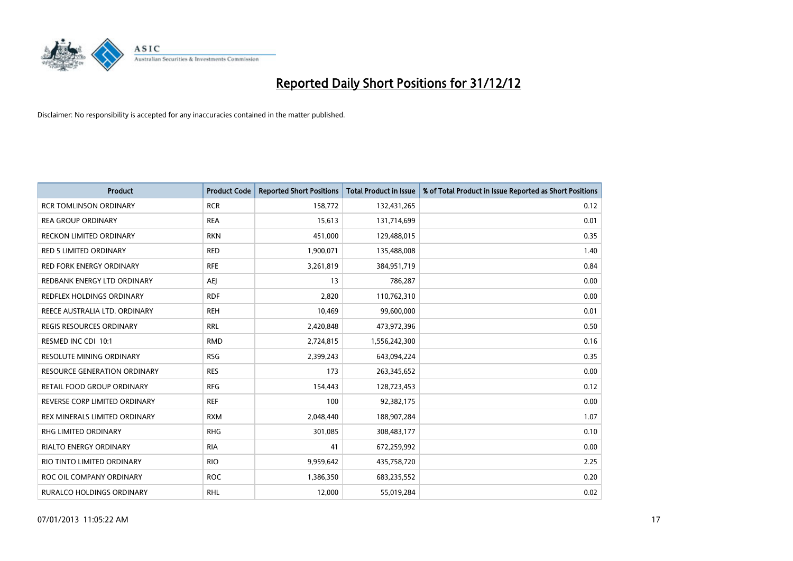

| <b>Product</b>                   | <b>Product Code</b> | <b>Reported Short Positions</b> | <b>Total Product in Issue</b> | % of Total Product in Issue Reported as Short Positions |
|----------------------------------|---------------------|---------------------------------|-------------------------------|---------------------------------------------------------|
| <b>RCR TOMLINSON ORDINARY</b>    | <b>RCR</b>          | 158,772                         | 132,431,265                   | 0.12                                                    |
| <b>REA GROUP ORDINARY</b>        | <b>REA</b>          | 15,613                          | 131,714,699                   | 0.01                                                    |
| RECKON LIMITED ORDINARY          | <b>RKN</b>          | 451,000                         | 129,488,015                   | 0.35                                                    |
| <b>RED 5 LIMITED ORDINARY</b>    | <b>RED</b>          | 1,900,071                       | 135,488,008                   | 1.40                                                    |
| <b>RED FORK ENERGY ORDINARY</b>  | <b>RFE</b>          | 3,261,819                       | 384,951,719                   | 0.84                                                    |
| REDBANK ENERGY LTD ORDINARY      | AEJ                 | 13                              | 786,287                       | 0.00                                                    |
| REDFLEX HOLDINGS ORDINARY        | <b>RDF</b>          | 2,820                           | 110,762,310                   | 0.00                                                    |
| REECE AUSTRALIA LTD. ORDINARY    | <b>REH</b>          | 10,469                          | 99,600,000                    | 0.01                                                    |
| <b>REGIS RESOURCES ORDINARY</b>  | <b>RRL</b>          | 2,420,848                       | 473,972,396                   | 0.50                                                    |
| RESMED INC CDI 10:1              | <b>RMD</b>          | 2,724,815                       | 1,556,242,300                 | 0.16                                                    |
| RESOLUTE MINING ORDINARY         | <b>RSG</b>          | 2,399,243                       | 643,094,224                   | 0.35                                                    |
| RESOURCE GENERATION ORDINARY     | <b>RES</b>          | 173                             | 263,345,652                   | 0.00                                                    |
| RETAIL FOOD GROUP ORDINARY       | <b>RFG</b>          | 154,443                         | 128,723,453                   | 0.12                                                    |
| REVERSE CORP LIMITED ORDINARY    | <b>REF</b>          | 100                             | 92,382,175                    | 0.00                                                    |
| REX MINERALS LIMITED ORDINARY    | <b>RXM</b>          | 2,048,440                       | 188,907,284                   | 1.07                                                    |
| RHG LIMITED ORDINARY             | <b>RHG</b>          | 301,085                         | 308,483,177                   | 0.10                                                    |
| RIALTO ENERGY ORDINARY           | <b>RIA</b>          | 41                              | 672,259,992                   | 0.00                                                    |
| RIO TINTO LIMITED ORDINARY       | <b>RIO</b>          | 9,959,642                       | 435,758,720                   | 2.25                                                    |
| ROC OIL COMPANY ORDINARY         | <b>ROC</b>          | 1,386,350                       | 683,235,552                   | 0.20                                                    |
| <b>RURALCO HOLDINGS ORDINARY</b> | <b>RHL</b>          | 12,000                          | 55,019,284                    | 0.02                                                    |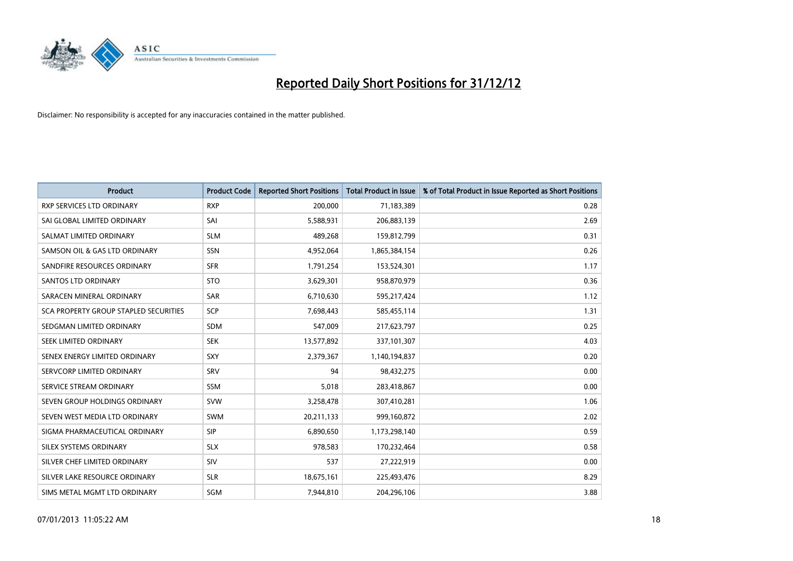

| <b>Product</b>                               | <b>Product Code</b> | <b>Reported Short Positions</b> | <b>Total Product in Issue</b> | % of Total Product in Issue Reported as Short Positions |
|----------------------------------------------|---------------------|---------------------------------|-------------------------------|---------------------------------------------------------|
| <b>RXP SERVICES LTD ORDINARY</b>             | <b>RXP</b>          | 200,000                         | 71,183,389                    | 0.28                                                    |
| SAI GLOBAL LIMITED ORDINARY                  | SAI                 | 5,588,931                       | 206,883,139                   | 2.69                                                    |
| SALMAT LIMITED ORDINARY                      | <b>SLM</b>          | 489,268                         | 159,812,799                   | 0.31                                                    |
| SAMSON OIL & GAS LTD ORDINARY                | <b>SSN</b>          | 4,952,064                       | 1,865,384,154                 | 0.26                                                    |
| SANDFIRE RESOURCES ORDINARY                  | <b>SFR</b>          | 1,791,254                       | 153,524,301                   | 1.17                                                    |
| <b>SANTOS LTD ORDINARY</b>                   | <b>STO</b>          | 3,629,301                       | 958,870,979                   | 0.36                                                    |
| SARACEN MINERAL ORDINARY                     | <b>SAR</b>          | 6,710,630                       | 595,217,424                   | 1.12                                                    |
| <b>SCA PROPERTY GROUP STAPLED SECURITIES</b> | SCP                 | 7,698,443                       | 585,455,114                   | 1.31                                                    |
| SEDGMAN LIMITED ORDINARY                     | <b>SDM</b>          | 547,009                         | 217,623,797                   | 0.25                                                    |
| SEEK LIMITED ORDINARY                        | <b>SEK</b>          | 13,577,892                      | 337,101,307                   | 4.03                                                    |
| SENEX ENERGY LIMITED ORDINARY                | <b>SXY</b>          | 2,379,367                       | 1,140,194,837                 | 0.20                                                    |
| SERVCORP LIMITED ORDINARY                    | SRV                 | 94                              | 98,432,275                    | 0.00                                                    |
| SERVICE STREAM ORDINARY                      | <b>SSM</b>          | 5,018                           | 283,418,867                   | 0.00                                                    |
| SEVEN GROUP HOLDINGS ORDINARY                | <b>SVW</b>          | 3,258,478                       | 307,410,281                   | 1.06                                                    |
| SEVEN WEST MEDIA LTD ORDINARY                | <b>SWM</b>          | 20,211,133                      | 999,160,872                   | 2.02                                                    |
| SIGMA PHARMACEUTICAL ORDINARY                | <b>SIP</b>          | 6,890,650                       | 1,173,298,140                 | 0.59                                                    |
| SILEX SYSTEMS ORDINARY                       | <b>SLX</b>          | 978,583                         | 170,232,464                   | 0.58                                                    |
| SILVER CHEF LIMITED ORDINARY                 | SIV                 | 537                             | 27,222,919                    | 0.00                                                    |
| SILVER LAKE RESOURCE ORDINARY                | <b>SLR</b>          | 18,675,161                      | 225,493,476                   | 8.29                                                    |
| SIMS METAL MGMT LTD ORDINARY                 | SGM                 | 7,944,810                       | 204,296,106                   | 3.88                                                    |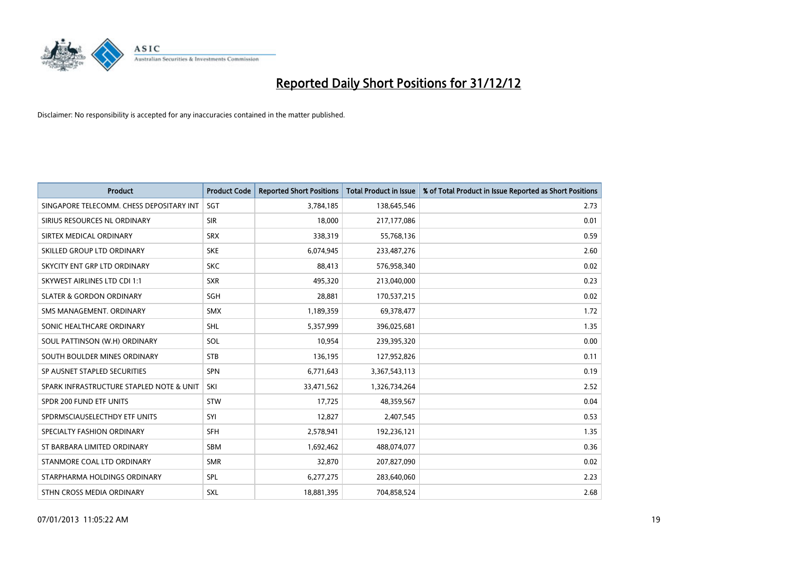

| <b>Product</b>                           | <b>Product Code</b> | <b>Reported Short Positions</b> | <b>Total Product in Issue</b> | % of Total Product in Issue Reported as Short Positions |
|------------------------------------------|---------------------|---------------------------------|-------------------------------|---------------------------------------------------------|
| SINGAPORE TELECOMM. CHESS DEPOSITARY INT | SGT                 | 3,784,185                       | 138,645,546                   | 2.73                                                    |
| SIRIUS RESOURCES NL ORDINARY             | <b>SIR</b>          | 18,000                          | 217,177,086                   | 0.01                                                    |
| SIRTEX MEDICAL ORDINARY                  | <b>SRX</b>          | 338,319                         | 55,768,136                    | 0.59                                                    |
| SKILLED GROUP LTD ORDINARY               | <b>SKE</b>          | 6,074,945                       | 233,487,276                   | 2.60                                                    |
| SKYCITY ENT GRP LTD ORDINARY             | <b>SKC</b>          | 88,413                          | 576,958,340                   | 0.02                                                    |
| SKYWEST AIRLINES LTD CDI 1:1             | <b>SXR</b>          | 495,320                         | 213,040,000                   | 0.23                                                    |
| <b>SLATER &amp; GORDON ORDINARY</b>      | <b>SGH</b>          | 28,881                          | 170,537,215                   | 0.02                                                    |
| SMS MANAGEMENT, ORDINARY                 | <b>SMX</b>          | 1,189,359                       | 69,378,477                    | 1.72                                                    |
| SONIC HEALTHCARE ORDINARY                | <b>SHL</b>          | 5,357,999                       | 396,025,681                   | 1.35                                                    |
| SOUL PATTINSON (W.H) ORDINARY            | SOL                 | 10,954                          | 239,395,320                   | 0.00                                                    |
| SOUTH BOULDER MINES ORDINARY             | <b>STB</b>          | 136,195                         | 127,952,826                   | 0.11                                                    |
| SP AUSNET STAPLED SECURITIES             | <b>SPN</b>          | 6,771,643                       | 3,367,543,113                 | 0.19                                                    |
| SPARK INFRASTRUCTURE STAPLED NOTE & UNIT | SKI                 | 33,471,562                      | 1,326,734,264                 | 2.52                                                    |
| SPDR 200 FUND ETF UNITS                  | <b>STW</b>          | 17,725                          | 48,359,567                    | 0.04                                                    |
| SPDRMSCIAUSELECTHDY ETF UNITS            | SYI                 | 12,827                          | 2,407,545                     | 0.53                                                    |
| SPECIALTY FASHION ORDINARY               | <b>SFH</b>          | 2,578,941                       | 192,236,121                   | 1.35                                                    |
| ST BARBARA LIMITED ORDINARY              | <b>SBM</b>          | 1,692,462                       | 488,074,077                   | 0.36                                                    |
| STANMORE COAL LTD ORDINARY               | <b>SMR</b>          | 32,870                          | 207,827,090                   | 0.02                                                    |
| STARPHARMA HOLDINGS ORDINARY             | SPL                 | 6,277,275                       | 283,640,060                   | 2.23                                                    |
| STHN CROSS MEDIA ORDINARY                | <b>SXL</b>          | 18,881,395                      | 704,858,524                   | 2.68                                                    |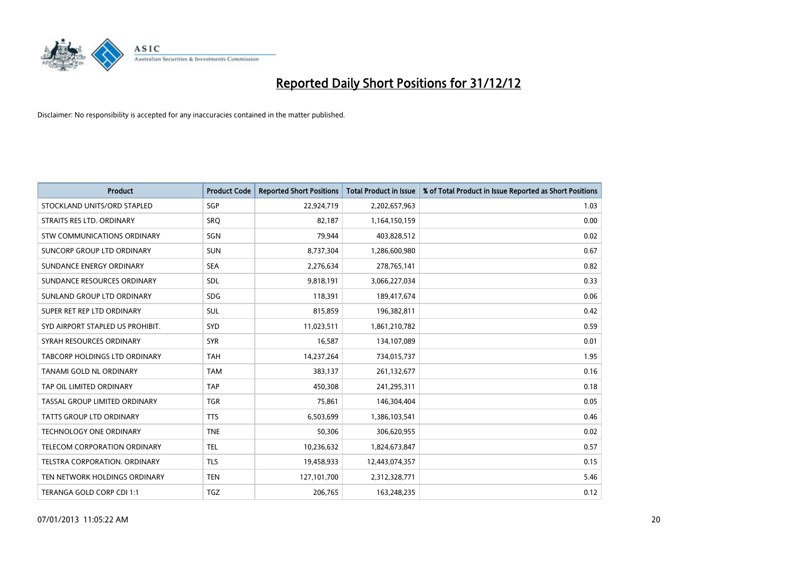

| <b>Product</b>                   | <b>Product Code</b> | <b>Reported Short Positions</b> | <b>Total Product in Issue</b> | % of Total Product in Issue Reported as Short Positions |
|----------------------------------|---------------------|---------------------------------|-------------------------------|---------------------------------------------------------|
| STOCKLAND UNITS/ORD STAPLED      | <b>SGP</b>          | 22,924,719                      | 2,202,657,963                 | 1.03                                                    |
| STRAITS RES LTD. ORDINARY        | SRO                 | 82,187                          | 1,164,150,159                 | 0.00                                                    |
| STW COMMUNICATIONS ORDINARY      | SGN                 | 79,944                          | 403,828,512                   | 0.02                                                    |
| SUNCORP GROUP LTD ORDINARY       | <b>SUN</b>          | 8,737,304                       | 1,286,600,980                 | 0.67                                                    |
| SUNDANCE ENERGY ORDINARY         | <b>SEA</b>          | 2,276,634                       | 278,765,141                   | 0.82                                                    |
| SUNDANCE RESOURCES ORDINARY      | SDL                 | 9,818,191                       | 3,066,227,034                 | 0.33                                                    |
| SUNLAND GROUP LTD ORDINARY       | <b>SDG</b>          | 118,391                         | 189,417,674                   | 0.06                                                    |
| SUPER RET REP LTD ORDINARY       | <b>SUL</b>          | 815,859                         | 196,382,811                   | 0.42                                                    |
| SYD AIRPORT STAPLED US PROHIBIT. | <b>SYD</b>          | 11,023,511                      | 1,861,210,782                 | 0.59                                                    |
| SYRAH RESOURCES ORDINARY         | <b>SYR</b>          | 16,587                          | 134,107,089                   | 0.01                                                    |
| TABCORP HOLDINGS LTD ORDINARY    | <b>TAH</b>          | 14,237,264                      | 734,015,737                   | 1.95                                                    |
| TANAMI GOLD NL ORDINARY          | <b>TAM</b>          | 383,137                         | 261,132,677                   | 0.16                                                    |
| TAP OIL LIMITED ORDINARY         | <b>TAP</b>          | 450,308                         | 241,295,311                   | 0.18                                                    |
| TASSAL GROUP LIMITED ORDINARY    | <b>TGR</b>          | 75,861                          | 146,304,404                   | 0.05                                                    |
| TATTS GROUP LTD ORDINARY         | <b>TTS</b>          | 6,503,699                       | 1,386,103,541                 | 0.46                                                    |
| <b>TECHNOLOGY ONE ORDINARY</b>   | <b>TNE</b>          | 50,306                          | 306,620,955                   | 0.02                                                    |
| TELECOM CORPORATION ORDINARY     | <b>TEL</b>          | 10,236,632                      | 1,824,673,847                 | 0.57                                                    |
| TELSTRA CORPORATION. ORDINARY    | <b>TLS</b>          | 19,458,933                      | 12,443,074,357                | 0.15                                                    |
| TEN NETWORK HOLDINGS ORDINARY    | <b>TEN</b>          | 127,101,700                     | 2,312,328,771                 | 5.46                                                    |
| TERANGA GOLD CORP CDI 1:1        | <b>TGZ</b>          | 206,765                         | 163,248,235                   | 0.12                                                    |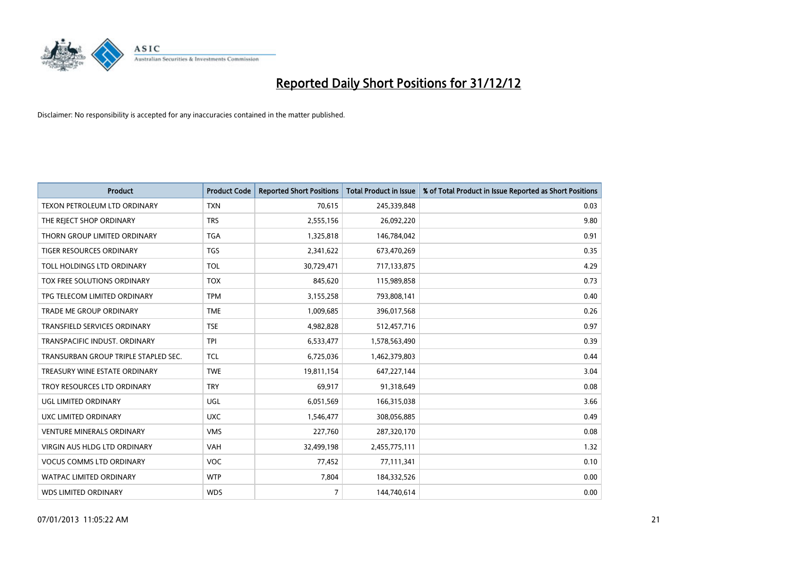

| <b>Product</b>                       | <b>Product Code</b> | <b>Reported Short Positions</b> | <b>Total Product in Issue</b> | % of Total Product in Issue Reported as Short Positions |
|--------------------------------------|---------------------|---------------------------------|-------------------------------|---------------------------------------------------------|
| TEXON PETROLEUM LTD ORDINARY         | <b>TXN</b>          | 70,615                          | 245,339,848                   | 0.03                                                    |
| THE REJECT SHOP ORDINARY             | <b>TRS</b>          | 2,555,156                       | 26,092,220                    | 9.80                                                    |
| THORN GROUP LIMITED ORDINARY         | <b>TGA</b>          | 1,325,818                       | 146,784,042                   | 0.91                                                    |
| TIGER RESOURCES ORDINARY             | <b>TGS</b>          | 2,341,622                       | 673,470,269                   | 0.35                                                    |
| TOLL HOLDINGS LTD ORDINARY           | <b>TOL</b>          | 30,729,471                      | 717,133,875                   | 4.29                                                    |
| TOX FREE SOLUTIONS ORDINARY          | <b>TOX</b>          | 845,620                         | 115,989,858                   | 0.73                                                    |
| TPG TELECOM LIMITED ORDINARY         | <b>TPM</b>          | 3,155,258                       | 793,808,141                   | 0.40                                                    |
| <b>TRADE ME GROUP ORDINARY</b>       | <b>TME</b>          | 1,009,685                       | 396,017,568                   | 0.26                                                    |
| <b>TRANSFIELD SERVICES ORDINARY</b>  | <b>TSE</b>          | 4,982,828                       | 512,457,716                   | 0.97                                                    |
| TRANSPACIFIC INDUST, ORDINARY        | <b>TPI</b>          | 6,533,477                       | 1,578,563,490                 | 0.39                                                    |
| TRANSURBAN GROUP TRIPLE STAPLED SEC. | <b>TCL</b>          | 6,725,036                       | 1,462,379,803                 | 0.44                                                    |
| TREASURY WINE ESTATE ORDINARY        | <b>TWE</b>          | 19,811,154                      | 647, 227, 144                 | 3.04                                                    |
| TROY RESOURCES LTD ORDINARY          | <b>TRY</b>          | 69,917                          | 91,318,649                    | 0.08                                                    |
| UGL LIMITED ORDINARY                 | UGL                 | 6,051,569                       | 166,315,038                   | 3.66                                                    |
| UXC LIMITED ORDINARY                 | <b>UXC</b>          | 1,546,477                       | 308,056,885                   | 0.49                                                    |
| <b>VENTURE MINERALS ORDINARY</b>     | <b>VMS</b>          | 227,760                         | 287,320,170                   | 0.08                                                    |
| VIRGIN AUS HLDG LTD ORDINARY         | <b>VAH</b>          | 32,499,198                      | 2,455,775,111                 | 1.32                                                    |
| <b>VOCUS COMMS LTD ORDINARY</b>      | <b>VOC</b>          | 77,452                          | 77,111,341                    | 0.10                                                    |
| <b>WATPAC LIMITED ORDINARY</b>       | <b>WTP</b>          | 7,804                           | 184,332,526                   | 0.00                                                    |
| <b>WDS LIMITED ORDINARY</b>          | <b>WDS</b>          | $\overline{7}$                  | 144,740,614                   | 0.00                                                    |